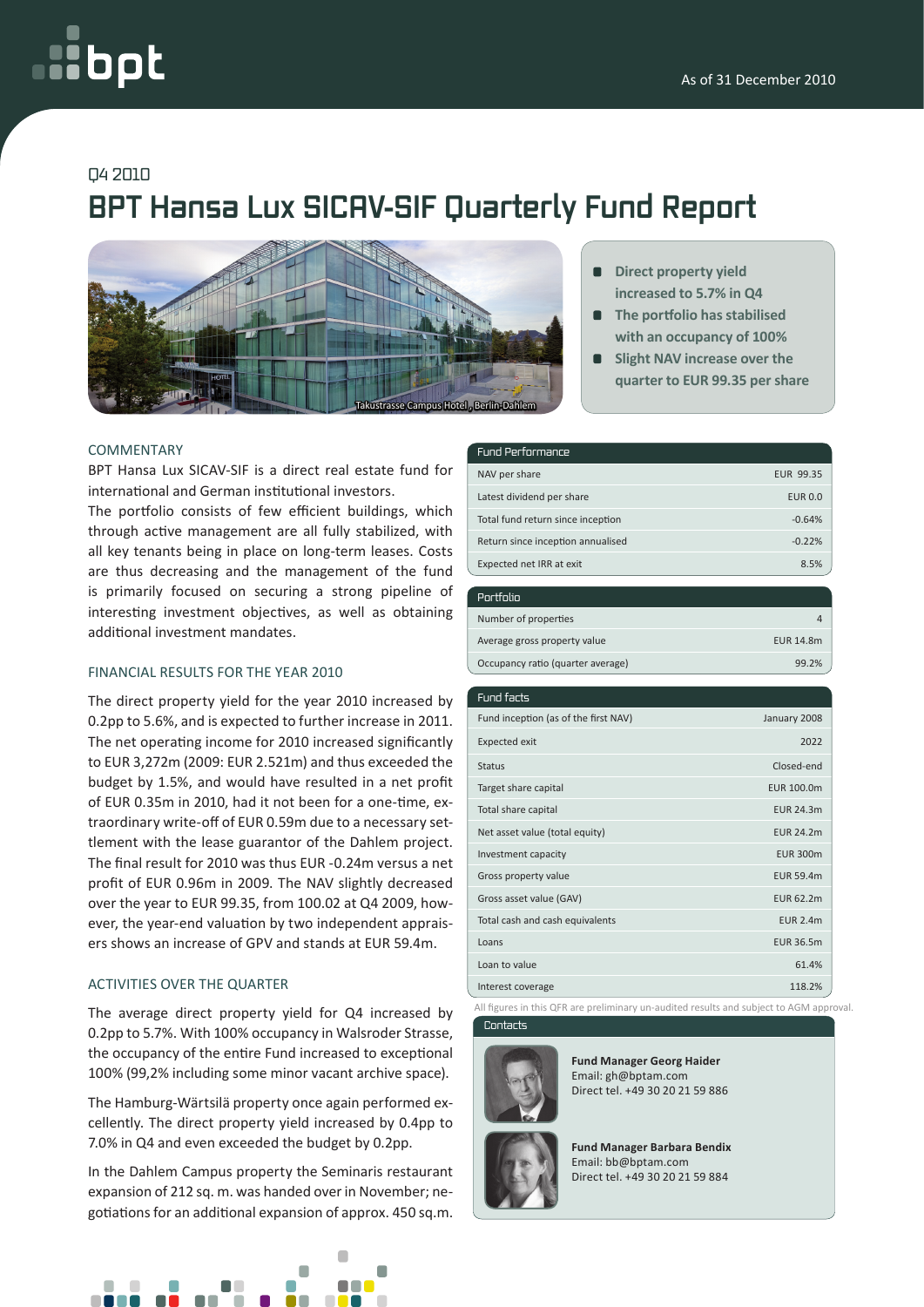# bpt

## Q4 2010

# **BPT Hansa Lux SICAV-SIF Quarterly Fund Report**



#### **COMMENTARY**

BPT Hansa Lux SICAV-SIF is a direct real estate fund for international and German institutional investors.

The portfolio consists of few efficient buildings, which through active management are all fully stabilized, with all key tenants being in place on long-term leases. Costs are thus decreasing and the management of the fund is primarily focused on securing a strong pipeline of interesting investment objectives, as well as obtaining additional investment mandates.

#### Financial results for the year 2010

The direct property yield for the year 2010 increased by 0.2pp to 5.6%, and is expected to further increase in 2011. The net operating income for 2010 increased significantly to EUR 3,272m (2009: EUR 2.521m) and thus exceeded the budget by 1.5%, and would have resulted in a net profit of EUR 0.35m in 2010, had it not been for a one-time, extraordinary write-off of EUR 0.59m due to a necessary settlement with the lease guarantor of the Dahlem project. The final result for 2010 was thus EUR -0.24m versus a net profit of EUR 0.96m in 2009. The NAV slightly decreased over the year to EUR 99.35, from 100.02 at Q4 2009, however, the year-end valuation by two independent appraisers shows an increase of GPV and stands at EUR 59.4m.

#### Activities over the quarter

The average direct property yield for Q4 increased by 0.2pp to 5.7%. With 100% occupancy in Walsroder Strasse, the occupancy of the entire Fund increased to exceptional 100% (99,2% including some minor vacant archive space).

The Hamburg-Wärtsilä property once again performed excellently. The direct property yield increased by 0.4pp to 7.0% in Q4 and even exceeded the budget by 0.2pp.

In the Dahlem Campus property the Seminaris restaurant expansion of 212 sq. m. was handed over in November; negotiations for an additional expansion of approx. 450 sq.m.



- **Direct property yield increased to 5.7% in Q4**
- $\blacksquare$  The portfolio has stabilised  **with an occupancy of 100%**
- **Slight NAV increase over the quarter to EUR 99.35 pershare**

| Fund Performance                  |                |
|-----------------------------------|----------------|
| NAV per share                     | EUR 99.35      |
| Latest dividend per share         | <b>EUR 0.0</b> |
| Total fund return since inception | $-0.64%$       |
| Return since inception annualised | $-0.22%$       |
| Expected net IRR at exit          | 8.5%           |

| Portfolio                         |           |
|-----------------------------------|-----------|
| Number of properties              |           |
| Average gross property value      | EUR 14.8m |
| Occupancy ratio (quarter average) | 99.2%     |

| Fund facts                           |                  |
|--------------------------------------|------------------|
| Fund inception (as of the first NAV) | January 2008     |
| <b>Expected exit</b>                 | 2022             |
| <b>Status</b>                        | Closed-end       |
| Target share capital                 | EUR 100.0m       |
| Total share capital                  | <b>EUR 24.3m</b> |
| Net asset value (total equity)       | <b>EUR 24.2m</b> |
| Investment capacity                  | <b>EUR 300m</b>  |
| Gross property value                 | EUR 59.4m        |
| Gross asset value (GAV)              | <b>EUR 62.2m</b> |
| Total cash and cash equivalents      | <b>EUR 2.4m</b>  |
| Loans                                | <b>EUR 36.5m</b> |
| Loan to value                        | 61.4%            |
| Interest coverage                    | 118.2%           |

**Contacts** All figures in this QFR are preliminary un-audited results and subject to AGM approval.



**Fund Manager Georg Haider** Email: gh@bptam.com Direct tel. +49 30 20 21 59 886

**Fund Manager Barbara Bendix** Email: bb@bptam.com Direct tel. +49 30 20 21 59 884